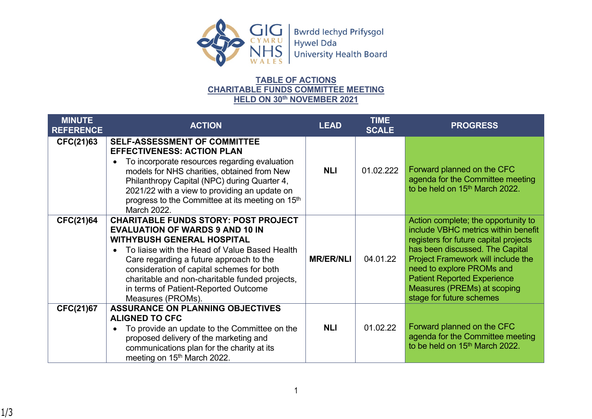

CYMRU<br>
NHS<br>
University Health Board

## **TABLE OF ACTIONS CHARITABLE FUNDS COMMITTEE MEETING HELD ON 30th NOVEMBER 2021**

| <b>MINUTE</b><br><b>REFERENCE</b> | <b>ACTION</b>                                                                                                                                                                                                                                                                                                                                                                                   | <b>LEAD</b>      | <b>TIME</b><br><b>SCALE</b> | <b>PROGRESS</b>                                                                                                                                                                                                                                                                                                            |
|-----------------------------------|-------------------------------------------------------------------------------------------------------------------------------------------------------------------------------------------------------------------------------------------------------------------------------------------------------------------------------------------------------------------------------------------------|------------------|-----------------------------|----------------------------------------------------------------------------------------------------------------------------------------------------------------------------------------------------------------------------------------------------------------------------------------------------------------------------|
| CFC(21)63                         | <b>SELF-ASSESSMENT OF COMMITTEE</b><br><b>EFFECTIVENESS: ACTION PLAN</b><br>To incorporate resources regarding evaluation<br>$\bullet$<br>models for NHS charities, obtained from New<br>Philanthropy Capital (NPC) during Quarter 4,<br>2021/22 with a view to providing an update on<br>progress to the Committee at its meeting on 15 <sup>th</sup><br>March 2022.                           | <b>NLI</b>       | 01.02.222                   | Forward planned on the CFC<br>agenda for the Committee meeting<br>to be held on 15 <sup>th</sup> March 2022.                                                                                                                                                                                                               |
| <b>CFC(21)64</b>                  | <b>CHARITABLE FUNDS STORY: POST PROJECT</b><br><b>EVALUATION OF WARDS 9 AND 10 IN</b><br><b>WITHYBUSH GENERAL HOSPITAL</b><br>To liaise with the Head of Value Based Health<br>$\bullet$<br>Care regarding a future approach to the<br>consideration of capital schemes for both<br>charitable and non-charitable funded projects,<br>in terms of Patient-Reported Outcome<br>Measures (PROMs). | <b>MR/ER/NLI</b> | 04.01.22                    | Action complete; the opportunity to<br>include VBHC metrics within benefit<br>registers for future capital projects<br>has been discussed. The Capital<br>Project Framework will include the<br>need to explore PROMs and<br><b>Patient Reported Experience</b><br>Measures (PREMs) at scoping<br>stage for future schemes |
| <b>CFC(21)67</b>                  | <b>ASSURANCE ON PLANNING OBJECTIVES</b><br><b>ALIGNED TO CFC</b><br>To provide an update to the Committee on the<br>٠<br>proposed delivery of the marketing and<br>communications plan for the charity at its<br>meeting on 15 <sup>th</sup> March 2022.                                                                                                                                        | <b>NLI</b>       | 01.02.22                    | Forward planned on the CFC<br>agenda for the Committee meeting<br>to be held on 15 <sup>th</sup> March 2022.                                                                                                                                                                                                               |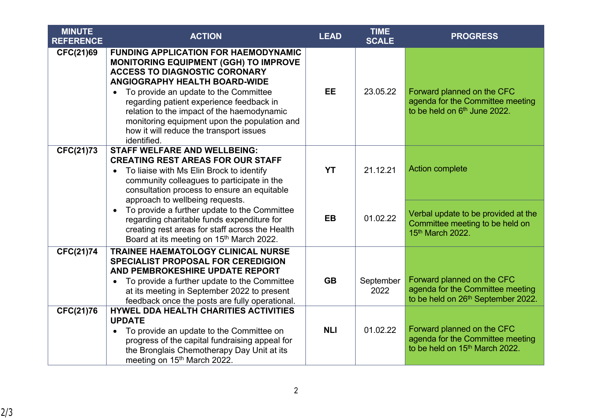| <b>MINUTE</b><br><b>REFERENCE</b> | <b>ACTION</b>                                                                                                                                                                                                                                                                                                                                                                                                                  | <b>LEAD</b> | <b>TIME</b><br><b>SCALE</b> | <b>PROGRESS</b>                                                                                                  |
|-----------------------------------|--------------------------------------------------------------------------------------------------------------------------------------------------------------------------------------------------------------------------------------------------------------------------------------------------------------------------------------------------------------------------------------------------------------------------------|-------------|-----------------------------|------------------------------------------------------------------------------------------------------------------|
| <b>CFC(21)69</b>                  | <b>FUNDING APPLICATION FOR HAEMODYNAMIC</b><br><b>MONITORING EQUIPMENT (GGH) TO IMPROVE</b><br><b>ACCESS TO DIAGNOSTIC CORONARY</b><br>ANGIOGRAPHY HEALTH BOARD-WIDE<br>To provide an update to the Committee<br>$\bullet$<br>regarding patient experience feedback in<br>relation to the impact of the haemodynamic<br>monitoring equipment upon the population and<br>how it will reduce the transport issues<br>identified. | <b>EE</b>   | 23.05.22                    | Forward planned on the CFC<br>agenda for the Committee meeting<br>to be held on 6th June 2022.                   |
| CFC(21)73                         | <b>STAFF WELFARE AND WELLBEING:</b><br><b>CREATING REST AREAS FOR OUR STAFF</b><br>To liaise with Ms Elin Brock to identify<br>$\bullet$<br>community colleagues to participate in the<br>consultation process to ensure an equitable<br>approach to wellbeing requests.                                                                                                                                                       | <b>YT</b>   | 21.12.21                    | <b>Action complete</b>                                                                                           |
|                                   | To provide a further update to the Committee<br>$\bullet$<br>regarding charitable funds expenditure for<br>creating rest areas for staff across the Health<br>Board at its meeting on 15 <sup>th</sup> March 2022.                                                                                                                                                                                                             | <b>EB</b>   | 01.02.22                    | Verbal update to be provided at the<br>Committee meeting to be held on<br>15th March 2022.                       |
| <b>CFC(21)74</b>                  | TRAINEE HAEMATOLOGY CLINICAL NURSE<br><b>SPECIALIST PROPOSAL FOR CEREDIGION</b><br>AND PEMBROKESHIRE UPDATE REPORT<br>To provide a further update to the Committee<br>$\bullet$<br>at its meeting in September 2022 to present<br>feedback once the posts are fully operational.                                                                                                                                               | <b>GB</b>   | September<br>2022           | Forward planned on the CFC<br>agenda for the Committee meeting<br>to be held on 26 <sup>th</sup> September 2022. |
| CFC(21)76                         | <b>HYWEL DDA HEALTH CHARITIES ACTIVITIES</b><br><b>UPDATE</b><br>• To provide an update to the Committee on<br>progress of the capital fundraising appeal for<br>the Bronglais Chemotherapy Day Unit at its<br>meeting on 15 <sup>th</sup> March 2022.                                                                                                                                                                         | <b>NLI</b>  | 01.02.22                    | Forward planned on the CFC<br>agenda for the Committee meeting<br>to be held on 15 <sup>th</sup> March 2022.     |